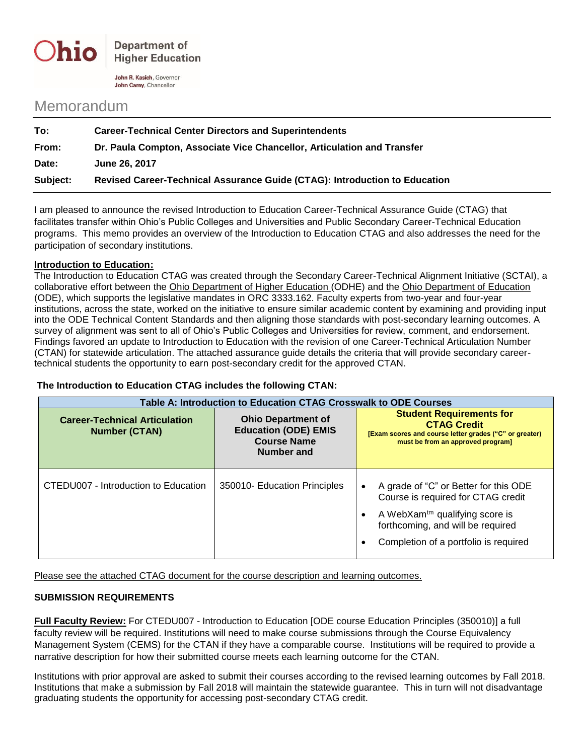

John R. Kasich, Governor John Carey, Chancellor

## Memorandum

| To:      | <b>Career-Technical Center Directors and Superintendents</b>               |  |
|----------|----------------------------------------------------------------------------|--|
| From:    | Dr. Paula Compton, Associate Vice Chancellor, Articulation and Transfer    |  |
| Date:    | June 26, 2017                                                              |  |
| Subject: | Revised Career-Technical Assurance Guide (CTAG): Introduction to Education |  |

I am pleased to announce the revised Introduction to Education Career-Technical Assurance Guide (CTAG) that facilitates transfer within Ohio's Public Colleges and Universities and Public Secondary Career-Technical Education programs. This memo provides an overview of the Introduction to Education CTAG and also addresses the need for the participation of secondary institutions.

## **Introduction to Education:**

The Introduction to Education CTAG was created through the Secondary Career-Technical Alignment Initiative (SCTAI), a collaborative effort between the Ohio Department of Higher Education (ODHE) and the Ohio Department of Education (ODE), which supports the legislative mandates in ORC 3333.162. Faculty experts from two-year and four-year institutions, across the state, worked on the initiative to ensure similar academic content by examining and providing input into the ODE Technical Content Standards and then aligning those standards with post-secondary learning outcomes. A survey of alignment was sent to all of Ohio's Public Colleges and Universities for review, comment, and endorsement. Findings favored an update to Introduction to Education with the revision of one Career-Technical Articulation Number (CTAN) for statewide articulation. The attached assurance guide details the criteria that will provide secondary careertechnical students the opportunity to earn post-secondary credit for the approved CTAN.

## **The Introduction to Education CTAG includes the following CTAN:**

| Table A: Introduction to Education CTAG Crosswalk to ODE Courses |                                                                                              |                                                                                                                                                                                                         |  |
|------------------------------------------------------------------|----------------------------------------------------------------------------------------------|---------------------------------------------------------------------------------------------------------------------------------------------------------------------------------------------------------|--|
| <b>Career-Technical Articulation</b><br><b>Number (CTAN)</b>     | <b>Ohio Department of</b><br><b>Education (ODE) EMIS</b><br><b>Course Name</b><br>Number and | <b>Student Requirements for</b><br><b>CTAG Credit</b><br>[Exam scores and course letter grades ("C" or greater)<br>must be from an approved program]                                                    |  |
| CTEDU007 - Introduction to Education                             | 350010- Education Principles                                                                 | A grade of "C" or Better for this ODE<br>Course is required for CTAG credit<br>A WebXam <sup>tm</sup> qualifying score is<br>forthcoming, and will be required<br>Completion of a portfolio is required |  |

Please see the attached CTAG document for the course description and learning outcomes.

## **SUBMISSION REQUIREMENTS**

**Full Faculty Review:** For CTEDU007 - Introduction to Education [ODE course Education Principles (350010)] a full faculty review will be required. Institutions will need to make course submissions through the Course Equivalency Management System (CEMS) for the CTAN if they have a comparable course. Institutions will be required to provide a narrative description for how their submitted course meets each learning outcome for the CTAN.

Institutions with prior approval are asked to submit their courses according to the revised learning outcomes by Fall 2018. Institutions that make a submission by Fall 2018 will maintain the statewide guarantee. This in turn will not disadvantage graduating students the opportunity for accessing post-secondary CTAG credit.